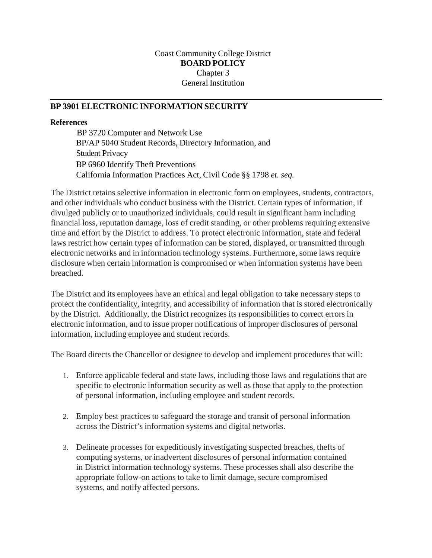## Coast Community College District **BOARD POLICY** Chapter 3 General Institution

## **BP 3901 ELECTRONIC INFORMATION SECURITY**

## **References**

BP 3720 Computer and Network Use BP/AP 5040 Student Records, Directory Information, and Student Privacy BP 6960 Identify Theft Preventions California Information Practices Act, Civil Code §§ 1798 *et. seq.*

The District retains selective information in electronic form on employees, students, contractors, and other individuals who conduct business with the District. Certain types of information, if divulged publicly or to unauthorized individuals, could result in significant harm including financial loss, reputation damage, loss of credit standing, or other problems requiring extensive time and effort by the District to address. To protect electronic information, state and federal laws restrict how certain types of information can be stored, displayed, or transmitted through electronic networks and in information technology systems. Furthermore, some laws require disclosure when certain information is compromised or when information systems have been breached.

The District and its employees have an ethical and legal obligation to take necessary steps to protect the confidentiality, integrity, and accessibility of information that is stored electronically by the District. Additionally, the District recognizes its responsibilities to correct errors in electronic information, and to issue proper notifications of improper disclosures of personal information, including employee and student records.

The Board directs the Chancellor or designee to develop and implement procedures that will:

- 1. Enforce applicable federal and state laws, including those laws and regulations that are specific to electronic information security as well as those that apply to the protection of personal information, including employee and student records.
- 2. Employ best practices to safeguard the storage and transit of personal information across the District's information systems and digital networks.
- 3. Delineate processes for expeditiously investigating suspected breaches, thefts of computing systems, or inadvertent disclosures of personal information contained in District information technology systems. These processes shall also describe the appropriate follow-on actions to take to limit damage, secure compromised systems, and notify affected persons.